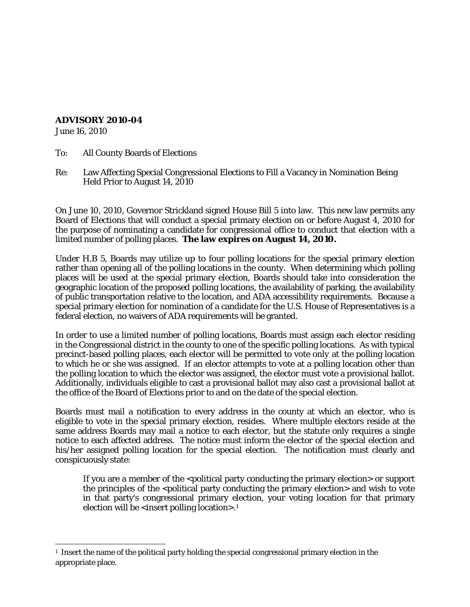## **ADVISORY 2010-04**

June 16, 2010

l

To: All County Boards of Elections

Re: Law Affecting Special Congressional Elections to Fill a Vacancy in Nomination Being Held Prior to August 14, 2010

On June 10, 2010, Governor Strickland signed House Bill 5 into law. This new law permits any Board of Elections that will conduct a special primary election on or before August 4, 2010 for the purpose of nominating a candidate for congressional office to conduct that election with a limited number of polling places. **The law expires on August 14, 2010.**

Under H.B 5, Boards may utilize up to four polling locations for the special primary election rather than opening all of the polling locations in the county. When determining which polling places will be used at the special primary election, Boards should take into consideration the geographic location of the proposed polling locations, the availability of parking, the availability of public transportation relative to the location, and ADA accessibility requirements. Because a special primary election for nomination of a candidate for the U.S. House of Representatives is a federal election, no waivers of ADA requirements will be granted.

In order to use a limited number of polling locations, Boards must assign each elector residing in the Congressional district in the county to one of the specific polling locations. As with typical precinct-based polling places, each elector will be permitted to vote *only* at the polling location to which he or she was assigned. If an elector attempts to vote at a polling location other than the polling location to which the elector was assigned, the elector must vote a provisional ballot. Additionally, individuals eligible to cast a provisional ballot may also cast a provisional ballot at the office of the Board of Elections prior to and on the date of the special election.

Boards must mail a notification to every address in the county at which an elector, who is eligible to vote in the special primary election, resides. Where multiple electors reside at the same address Boards *may* mail a notice to each elector, but the statute only requires a single notice to each affected address. The notice must inform the elector of the special election and his/her assigned polling location for the special election. The notification must clearly and conspicuously state:

If you are a member of the  $\leq$  political party conducting the primary election $>$  or support the principles of the <political party conducting the primary election> and wish to vote in that party's congressional primary election, your voting location for that primary election will be  $\leq$  insert polling location $>1$  $>1$ .

<span id="page-0-0"></span> $<sup>1</sup>$  Insert the name of the political party holding the special congressional primary election in the</sup> appropriate place.